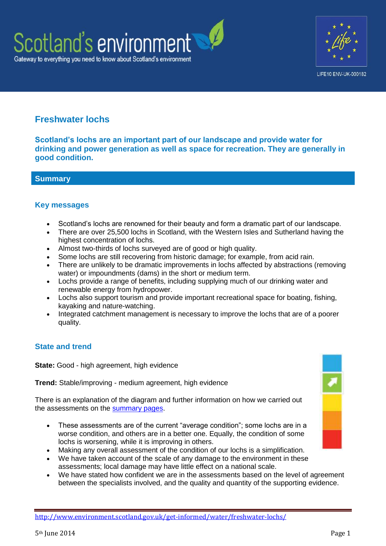



# **Freshwater lochs**

**Scotland's lochs are an important part of our landscape and provide water for drinking and power generation as well as space for recreation. They are generally in good condition.**

### **Summary**

### **Key messages**

- Scotland's lochs are renowned for their beauty and form a dramatic part of our landscape.
- There are over 25,500 lochs in Scotland, with the Western Isles and Sutherland having the highest concentration of lochs.
- Almost two-thirds of lochs surveyed are of good or high quality.
- Some lochs are still recovering from historic damage; for example, from acid rain.
- There are unlikely to be dramatic improvements in lochs affected by abstractions (removing water) or impoundments (dams) in the short or medium term.
- Lochs provide a range of benefits, including supplying much of our drinking water and renewable energy from hydropower.
- Lochs also support tourism and provide important recreational space for boating, fishing, kayaking and nature-watching.
- Integrated catchment management is necessary to improve the lochs that are of a poorer quality.

### **State and trend**

**State:** Good - high agreement, high evidence

**Trend:** Stable/improving - medium agreement, high evidence

There is an explanation of the diagram and further information on how we carried out the assessments on the [summary pages.](http://www.environment.scotland.gov.uk/get-informed/state-of-the-environment-summary/state-and-trend-assessments/)

- These assessments are of the current "average condition"; some lochs are in a worse condition, and others are in a better one. Equally, the condition of some lochs is worsening, while it is improving in others.
- Making any overall assessment of the condition of our lochs is a simplification.
- We have taken account of the scale of any damage to the environment in these assessments; local damage may have little effect on a national scale.
- We have stated how confident we are in the assessments based on the level of agreement between the specialists involved, and the quality and quantity of the supporting evidence.

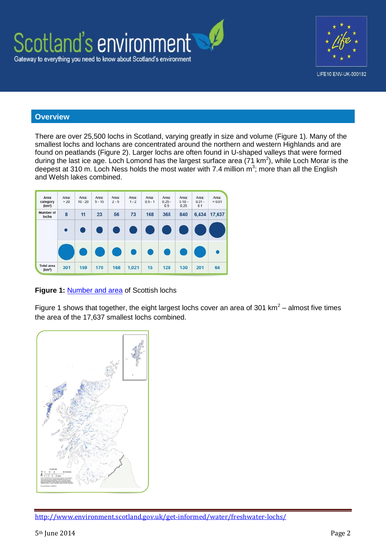



### **Overview**

There are over 25,500 lochs in Scotland, varying greatly in size and volume (Figure 1). Many of the smallest lochs and lochans are concentrated around the northern and western Highlands and are found on peatlands (Figure 2). Larger lochs are often found in U-shaped valleys that were formed during the last ice age. Loch Lomond has the largest surface area (71 km<sup>2</sup>), while Loch Morar is the deepest at 310 m. Loch Ness holds the most water with 7.4 million  $m^3$ ; more than all the English and Welsh lakes combined.



### **Figure 1:** [Number and area](http://link.springer.com/article/10.1023%2FB%3AWAFO.0000028346.27904.83) of Scottish lochs

Figure 1 shows that together, the eight largest lochs cover an area of 301  $km^2$  – almost five times the area of the 17,637 smallest lochs combined.



<http://www.environment.scotland.gov.uk/get-informed/water/freshwater-lochs/>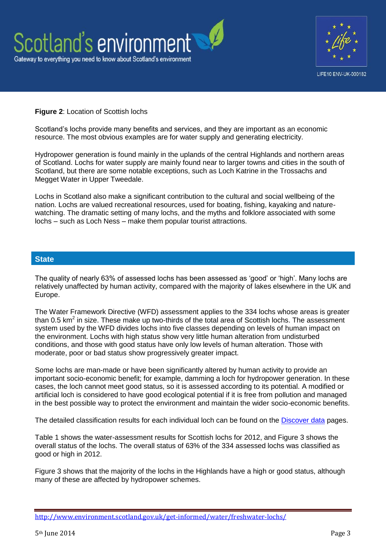



### **Figure 2**: Location of Scottish lochs

Scotland's lochs provide many benefits and services, and they are important as an economic resource. The most obvious examples are for water supply and generating electricity.

Hydropower generation is found mainly in the uplands of the central Highlands and northern areas of Scotland. Lochs for water supply are mainly found near to larger towns and cities in the south of Scotland, but there are some notable exceptions, such as Loch Katrine in the Trossachs and Megget Water in Upper Tweedale.

Lochs in Scotland also make a significant contribution to the cultural and social wellbeing of the nation. Lochs are valued recreational resources, used for boating, fishing, kayaking and naturewatching. The dramatic setting of many lochs, and the myths and folklore associated with some lochs – such as Loch Ness – make them popular tourist attractions.

### **State**

The quality of nearly 63% of assessed lochs has been assessed as 'good' or 'high'. Many lochs are relatively unaffected by human activity, compared with the majority of lakes elsewhere in the UK and Europe.

The Water Framework Directive (WFD) assessment applies to the 334 lochs whose areas is greater than 0.5 km<sup>2</sup> in size. These make up two-thirds of the total area of Scottish lochs. The assessment system used by the WFD divides lochs into five classes depending on levels of human impact on the environment. Lochs with high status show very little human alteration from undisturbed conditions, and those with good status have only low levels of human alteration. Those with moderate, poor or bad status show progressively greater impact.

Some lochs are man-made or have been significantly altered by human activity to provide an important socio-economic benefit; for example, damming a loch for hydropower generation. In these cases, the loch cannot meet good status, so it is assessed according to its potential. A modified or artificial loch is considered to have good ecological potential if it is free from pollution and managed in the best possible way to protect the environment and maintain the wider socio-economic benefits.

The detailed classification results for each individual loch can be found on the [Discover data](http://www.environment.scotland.gov.uk/get-interactive/discover-data/) pages.

Table 1 shows the water-assessment results for Scottish lochs for 2012, and Figure 3 shows the overall status of the lochs. The overall status of 63% of the 334 assessed lochs was classified as good or high in 2012.

Figure 3 shows that the majority of the lochs in the Highlands have a high or good status, although many of these are affected by hydropower schemes.

<http://www.environment.scotland.gov.uk/get-informed/water/freshwater-lochs/>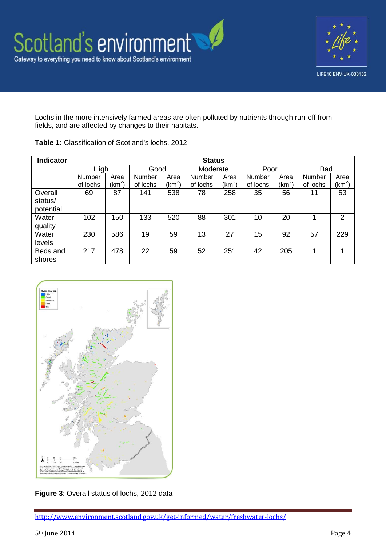

Lochs in the more intensively farmed areas are often polluted by nutrients through run-off from fields, and are affected by changes to their habitats.

| <b>Table 1: Classification of Scotland's lochs, 2012</b> |  |
|----------------------------------------------------------|--|
|----------------------------------------------------------|--|

| <b>Indicator</b>                | <b>Status</b>      |                  |                           |                            |                           |                            |                    |                  |                    |                  |
|---------------------------------|--------------------|------------------|---------------------------|----------------------------|---------------------------|----------------------------|--------------------|------------------|--------------------|------------------|
|                                 | High               |                  | Good                      |                            | Moderate                  |                            | Poor               |                  | <b>Bad</b>         |                  |
|                                 | Number<br>of lochs | Area<br>$(km^2)$ | <b>Number</b><br>of lochs | Area<br>(km <sup>2</sup> ) | <b>Number</b><br>of lochs | Area<br>(km <sup>2</sup> ) | Number<br>of lochs | Area<br>$(km^2)$ | Number<br>of lochs | Area<br>$(km^2)$ |
| Overall<br>status/<br>potential | 69                 | 87               | 141                       | 538                        | 78                        | 258                        | 35                 | 56               | 11                 | 53               |
| Water<br>quality                | 102                | 150              | 133                       | 520                        | 88                        | 301                        | 10                 | 20               |                    | $\overline{2}$   |
| Water<br>levels                 | 230                | 586              | 19                        | 59                         | 13                        | 27                         | 15                 | 92               | 57                 | 229              |
| Beds and<br>shores              | 217                | 478              | 22                        | 59                         | 52                        | 251                        | 42                 | 205              |                    | 1                |



**Figure 3**: Overall status of lochs, 2012 data

<http://www.environment.scotland.gov.uk/get-informed/water/freshwater-lochs/>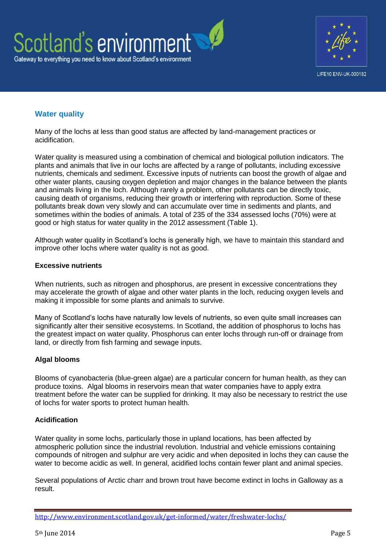



# **Water quality**

Many of the lochs at less than good status are affected by land-management practices or acidification.

Water quality is measured using a combination of chemical and biological pollution indicators. The plants and animals that live in our lochs are affected by a range of pollutants, including excessive nutrients, chemicals and sediment. Excessive inputs of nutrients can boost the growth of algae and other water plants, causing oxygen depletion and major changes in the balance between the plants and animals living in the loch. Although rarely a problem, other pollutants can be directly toxic, causing death of organisms, reducing their growth or interfering with reproduction. Some of these pollutants break down very slowly and can accumulate over time in sediments and plants, and sometimes within the bodies of animals. A total of 235 of the 334 assessed lochs (70%) were at good or high status for water quality in the 2012 assessment (Table 1).

Although water quality in Scotland's lochs is generally high, we have to maintain this standard and improve other lochs where water quality is not as good.

#### **Excessive nutrients**

When nutrients, such as nitrogen and phosphorus, are present in excessive concentrations they may accelerate the growth of algae and other water plants in the loch, reducing oxygen levels and making it impossible for some plants and animals to survive.

Many of Scotland's lochs have naturally low levels of nutrients, so even quite small increases can significantly alter their sensitive ecosystems. In Scotland, the addition of phosphorus to lochs has the greatest impact on water quality. Phosphorus can enter lochs through run-off or drainage from land, or directly from fish farming and sewage inputs.

### **Algal blooms**

Blooms of cyanobacteria (blue-green algae) are a particular concern for human health, as they can produce toxins. Algal blooms in reservoirs mean that water companies have to apply extra treatment before the water can be supplied for drinking. It may also be necessary to restrict the use of lochs for water sports to protect human health.

### **Acidification**

Water quality in some lochs, particularly those in upland locations, has been affected by atmospheric pollution since the industrial revolution. Industrial and vehicle emissions containing compounds of nitrogen and sulphur are very acidic and when deposited in lochs they can cause the water to become acidic as well. In general, acidified lochs contain fewer plant and animal species.

Several populations of Arctic charr and brown trout have become extinct in lochs in Galloway as a result.

<http://www.environment.scotland.gov.uk/get-informed/water/freshwater-lochs/>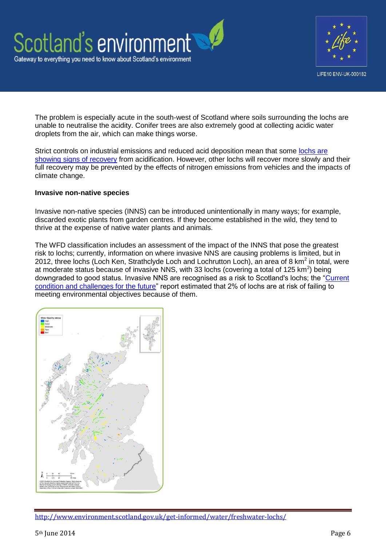



The problem is especially acute in the south-west of Scotland where soils surrounding the lochs are unable to neutralise the acidity. Conifer trees are also extremely good at collecting acidic water droplets from the air, which can make things worse.

Strict controls on industrial emissions and reduced acid deposition mean that some [lochs are](http://awmn.defra.gov.uk/resources/interpreports/20yearInterpRpt.pdf)  [showing signs of recovery](http://awmn.defra.gov.uk/resources/interpreports/20yearInterpRpt.pdf) from acidification. However, other lochs will recover more slowly and their full recovery may be prevented by the effects of nitrogen emissions from vehicles and the impacts of climate change.

### **Invasive non-native species**

Invasive non-native species (INNS) can be introduced unintentionally in many ways; for example, discarded exotic plants from garden centres. If they become established in the wild, they tend to thrive at the expense of native water plants and animals.

The WFD classification includes an assessment of the impact of the INNS that pose the greatest risk to lochs; currently, information on where invasive NNS are causing problems is limited, but in 2012, three lochs (Loch Ken, Strathclyde Loch and Lochrutton Loch), an area of 8 km<sup>2</sup> in total, were at moderate status because of invasive NNS, with 33 lochs (covering a total of 125  $km^2$ ) being downgraded to good status. Invasive NNS are recognised as a risk to Scotland's lochs; the ["Current](http://www.sepa.org.uk/water/river_basin_planning/significant_issues.aspx)  [condition and challenges for the future"](http://www.sepa.org.uk/water/river_basin_planning/significant_issues.aspx) report estimated that 2% of lochs are at risk of failing to meeting environmental objectives because of them.

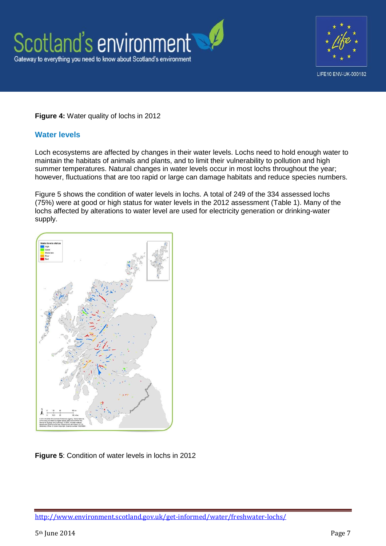



**Figure 4:** Water quality of lochs in 2012

### **Water levels**

Loch ecosystems are affected by changes in their water levels. Lochs need to hold enough water to maintain the habitats of animals and plants, and to limit their vulnerability to pollution and high summer temperatures. Natural changes in water levels occur in most lochs throughout the year; however, fluctuations that are too rapid or large can damage habitats and reduce species numbers.

Figure 5 shows the condition of water levels in lochs. A total of 249 of the 334 assessed lochs (75%) were at good or high status for water levels in the 2012 assessment (Table 1). Many of the lochs affected by alterations to water level are used for electricity generation or drinking-water supply.



**Figure 5**: Condition of water levels in lochs in 2012

<http://www.environment.scotland.gov.uk/get-informed/water/freshwater-lochs/>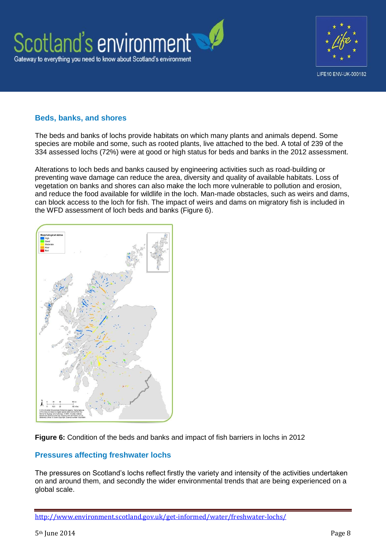



# **Beds, banks, and shores**

The beds and banks of lochs provide habitats on which many plants and animals depend. Some species are mobile and some, such as rooted plants, live attached to the bed. A total of 239 of the 334 assessed lochs (72%) were at good or high status for beds and banks in the 2012 assessment.

Alterations to loch beds and banks caused by engineering activities such as road-building or preventing wave damage can reduce the area, diversity and quality of available habitats. Loss of vegetation on banks and shores can also make the loch more vulnerable to pollution and erosion, and reduce the food available for wildlife in the loch. Man-made obstacles, such as weirs and dams, can block access to the loch for fish. The impact of weirs and dams on migratory fish is included in the WFD assessment of loch beds and banks (Figure 6).



**Figure 6:** Condition of the beds and banks and impact of fish barriers in lochs in 2012

### **Pressures affecting freshwater lochs**

The pressures on Scotland's lochs reflect firstly the variety and intensity of the activities undertaken on and around them, and secondly the wider environmental trends that are being experienced on a global scale.

<http://www.environment.scotland.gov.uk/get-informed/water/freshwater-lochs/>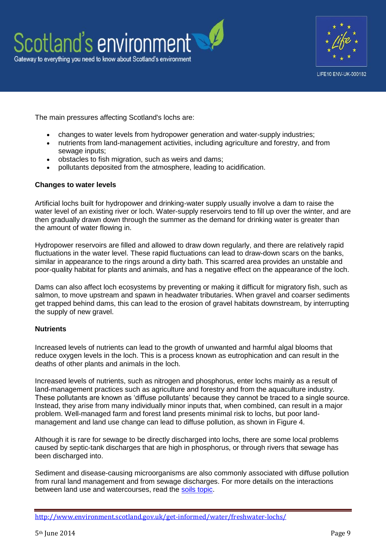

LIFE10 ENV-UK-000182

The main pressures affecting Scotland's lochs are:

- changes to water levels from hydropower generation and water-supply industries;
- nutrients from land-management activities, including agriculture and forestry, and from sewage inputs;
- obstacles to fish migration, such as weirs and dams;
- pollutants deposited from the atmosphere, leading to acidification.

#### **Changes to water levels**

Artificial lochs built for hydropower and drinking-water supply usually involve a dam to raise the water level of an existing river or loch. Water-supply reservoirs tend to fill up over the winter, and are then gradually drawn down through the summer as the demand for drinking water is greater than the amount of water flowing in.

Hydropower reservoirs are filled and allowed to draw down regularly, and there are relatively rapid fluctuations in the water level. These rapid fluctuations can lead to draw-down scars on the banks, similar in appearance to the rings around a dirty bath. This scarred area provides an unstable and poor-quality habitat for plants and animals, and has a negative effect on the appearance of the loch.

Dams can also affect loch ecosystems by preventing or making it difficult for migratory fish, such as salmon, to move upstream and spawn in headwater tributaries. When gravel and coarser sediments get trapped behind dams, this can lead to the erosion of gravel habitats downstream, by interrupting the supply of new gravel.

### **Nutrients**

Increased levels of nutrients can lead to the growth of unwanted and harmful algal blooms that reduce oxygen levels in the loch. This is a process known as eutrophication and can result in the deaths of other plants and animals in the loch.

Increased levels of nutrients, such as nitrogen and phosphorus, enter lochs mainly as a result of land-management practices such as agriculture and forestry and from the aquaculture industry. These pollutants are known as 'diffuse pollutants' because they cannot be traced to a single source. Instead, they arise from many individually minor inputs that, when combined, can result in a major problem. Well-managed farm and forest land presents minimal risk to lochs, but poor landmanagement and land use change can lead to diffuse pollution, as shown in Figure 4.

Although it is rare for sewage to be directly discharged into lochs, there are some local problems caused by septic-tank discharges that are high in phosphorus, or through rivers that sewage has been discharged into.

Sediment and disease-causing microorganisms are also commonly associated with diffuse pollution from rural land management and from sewage discharges. For more details on the interactions between land use and watercourses, read the [soils topic.](http://www.environment.scotland.gov.uk/get-informed/land/soils/)

<http://www.environment.scotland.gov.uk/get-informed/water/freshwater-lochs/>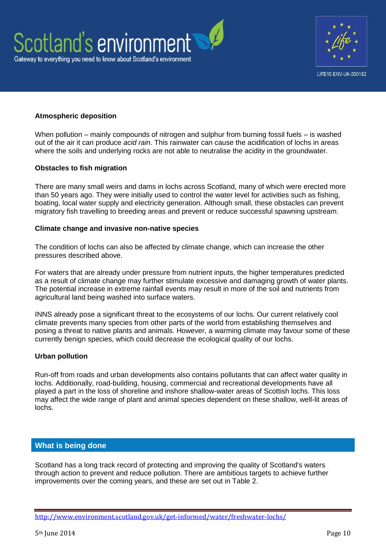



### **Atmospheric deposition**

When pollution – mainly compounds of nitrogen and sulphur from burning fossil fuels – is washed out of the air it can produce *acid rain*. This rainwater can cause the acidification of lochs in areas where the soils and underlying rocks are not able to neutralise the acidity in the groundwater.

#### **Obstacles to fish migration**

There are many small weirs and dams in lochs across Scotland, many of which were erected more than 50 years ago. They were initially used to control the water level for activities such as fishing, boating, local water supply and electricity generation. Although small, these obstacles can prevent migratory fish travelling to breeding areas and prevent or reduce successful spawning upstream.

#### **Climate change and invasive non-native species**

The condition of lochs can also be affected by climate change, which can increase the other pressures described above.

For waters that are already under pressure from nutrient inputs, the higher temperatures predicted as a result of climate change may further stimulate excessive and damaging growth of water plants. The potential increase in extreme rainfall events may result in more of the soil and nutrients from agricultural land being washed into surface waters.

INNS already pose a significant threat to the ecosystems of our lochs. Our current relatively cool climate prevents many species from other parts of the world from establishing themselves and posing a threat to native plants and animals. However, a warming climate may favour some of these currently benign species, which could decrease the ecological quality of our lochs.

### **Urban pollution**

Run-off from roads and urban developments also contains pollutants that can affect water quality in lochs. Additionally, road-building, housing, commercial and recreational developments have all played a part in the loss of shoreline and inshore shallow-water areas of Scottish lochs. This loss may affect the wide range of plant and animal species dependent on these shallow, well-lit areas of lochs.

### **What is being done**

Scotland has a long track record of protecting and improving the quality of Scotland's waters through action to prevent and reduce pollution. There are ambitious targets to achieve further improvements over the coming years, and these are set out in Table 2.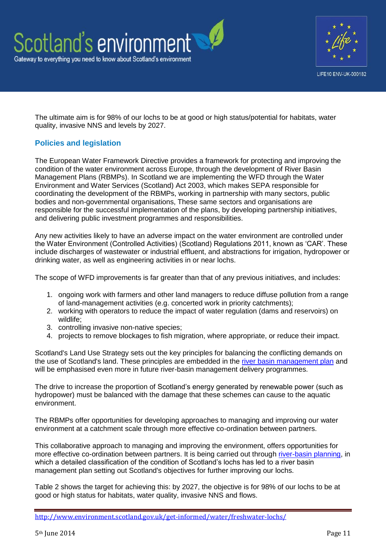

The ultimate aim is for 98% of our lochs to be at good or high status/potential for habitats, water quality, invasive NNS and levels by 2027.

# **Policies and legislation**

The European Water Framework Directive provides a framework for protecting and improving the condition of the water environment across Europe, through the development of River Basin Management Plans (RBMPs). In Scotland we are implementing the WFD through the Water Environment and Water Services (Scotland) Act 2003, which makes SEPA responsible for coordinating the development of the RBMPs, working in partnership with many sectors, public bodies and non-governmental organisations, These same sectors and organisations are responsible for the successful implementation of the plans, by developing partnership initiatives, and delivering public investment programmes and responsibilities.

Any new activities likely to have an adverse impact on the water environment are controlled under the Water Environment (Controlled Activities) (Scotland) Regulations 2011, known as 'CAR'. These include discharges of wastewater or industrial effluent, and abstractions for irrigation, hydropower or drinking water, as well as engineering activities in or near lochs.

The scope of WFD improvements is far greater than that of any previous initiatives, and includes:

- 1. ongoing work with farmers and other land managers to reduce diffuse pollution from a range of land-management activities (e.g. concerted work in priority catchments);
- 2. working with operators to reduce the impact of water regulation (dams and reservoirs) on wildlife;
- 3. controlling invasive non-native species;
- 4. projects to remove blockages to fish migration, where appropriate, or reduce their impact.

Scotland's Land Use Strategy sets out the key principles for balancing the conflicting demands on the use of Scotland's land. These principles are embedded in the [river basin management plan](http://www.sepa.org.uk/water/idoc.ashx?docid=2b22ae22-41ea-4094-9636-e1b4d7fb37ee&version=-1) and will be emphasised even more in future river-basin management delivery programmes.

The drive to increase the proportion of Scotland's energy generated by renewable power (such as hydropower) must be balanced with the damage that these schemes can cause to the aquatic environment.

The RBMPs offer opportunities for developing approaches to managing and improving our water environment at a catchment scale through more effective co-ordination between partners.

This collaborative approach to managing and improving the environment, offers opportunities for more effective co-ordination between partners. It is being carried out through [river-basin planning,](http://www.sepa.org.uk/water/river_basin_planning.aspx) in which a detailed classification of the condition of Scotland's lochs has led to a river basin management plan setting out Scotland's objectives for further improving our lochs.

Table 2 shows the target for achieving this: by 2027, the objective is for 98% of our lochs to be at good or high status for habitats, water quality, invasive NNS and flows.

<http://www.environment.scotland.gov.uk/get-informed/water/freshwater-lochs/>